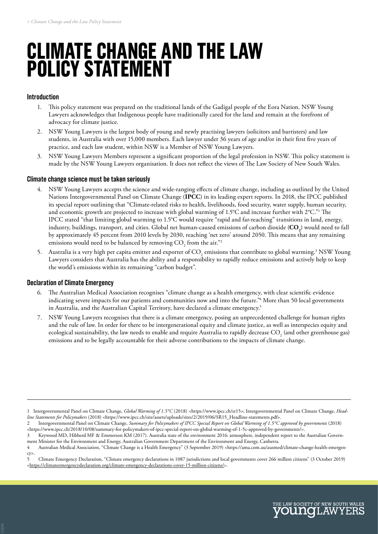# **CLIMATE CHANGE AND THE LAW POLICY STATEMENT**

## **Introduction**

- 1. This policy statement was prepared on the traditional lands of the Gadigal people of the Eora Nation. NSW Young Lawyers acknowledges that Indigenous people have traditionally cared for the land and remain at the forefront of advocacy for climate justice.
- 2. NSW Young Lawyers is the largest body of young and newly practising lawyers (solicitors and barristers) and law students, in Australia with over 15,000 members. Each lawyer under 36 years of age and/or in their first five years of practice, and each law student, within NSW is a Member of NSW Young Lawyers.
- 3. NSW Young Lawyers Members represent a significant proportion of the legal profession in NSW. This policy statement is made by the NSW Young Lawyers organisation. It does not reflect the views of The Law Society of New South Wales.

#### **Climate change science must be taken seriously**

- 4. NSW Young Lawyers accepts the science and wide-ranging effects of climate change, including as outlined by the United Nations Intergovernmental Panel on Climate Change (**IPCC**) in its leading expert reports. In 2018, the IPCC published its special report outlining that "Climate-related risks to health, livelihoods, food security, water supply, human security, and economic growth are projected to increase with global warming of 1.5°C and increase further with 2°C."<sup>1</sup> The IPCC stated "that limiting global warming to 1.5°C would require "rapid and far-reaching" transitions in land, energy, industry, buildings, transport, and cities. Global net human-caused emissions of carbon dioxide ( $\mathbf{CO}_2$ ) would need to fall by approximately 45 percent from 2010 levels by 2030, reaching 'net zero' around 2050. This means that any remaining emissions would need to be balanced by removing  $\mathrm{CO}_2^{}$  from the air."<sup>2</sup>
- 5. Australia is a very high per capita emitter and exporter of  $\rm CO_2$  emissions that contribute to global warming.<sup>3</sup> NSW Young Lawyers considers that Australia has the ability and a responsibility to rapidly reduce emissions and actively help to keep the world's emissions within its remaining "carbon budget".

## **Declaration of Climate Emergency**

- 6. The Australian Medical Association recognises "climate change as a health emergency, with clear scientific evidence indicating severe impacts for our patients and communities now and into the future.<sup>"4</sup> More than 50 local governments in Australia, and the Australian Capital Territory, have declared a climate emergency.<sup>5</sup>
- 7. NSW Young Lawyers recognises that there is a climate emergency, posing an unprecedented challenge for human rights and the rule of law. In order for there to be intergenerational equity and climate justice, as well as interspecies equity and ecological sustainability, the law needs to enable and require Australia to rapidly decrease CO<sub>2</sub> (and other greenhouse gas) emissions and to be legally accountable for their adverse contributions to the impacts of climate change.

<sup>1</sup> Intergovernmental Panel on Climate Change, *Global Warming of 1.5°C* (2018) *<*https://www.ipcc.ch/sr15>; Intergovernmental Panel on Climate Change, *Headline Statements for Policymakers* (2018) <https://www.ipcc.ch/site/assets/uploads/sites/2/2019/06/SR15\_Headline-statements.pdf>.

<sup>2</sup> Intergovernmental Panel on Climate Change, *Summary for Policymakers of IPCC Special Report on Global Warming of 1.5°C approved by governments* (2018) <https://www.ipcc.ch/2018/10/08/summary-for-policymakers-of-ipcc-special-report-on-global-warming-of-1-5c-approved-by-governments/>.

<sup>3</sup> Keywood MD, Hibberd MF & Emmerson KM (2017). Australia state of the environment 2016: atmosphere, independent report to the Australian Government Minister for the Environment and Energy, Australian Government Department of the Environment and Energy, Canberra.

<sup>4</sup> Australian Medical Association, "Climate Change is a Health Emergency" (3 September 2019) <https://ama.com.au/ausmed/climate-change-health-emergency>.

<sup>5</sup> Climate Emergency Declaration, "Climate emergency declarations in 1087 jurisdictions and local governments cover 266 million citizens" (3 October 2019) <[https://climateemergencydeclaration.org/climate-emergency-declarations-cover-15-million-citizens/>](https://climateemergencydeclaration.org/climate-emergency-declarations-cover-15-million-citizens/).